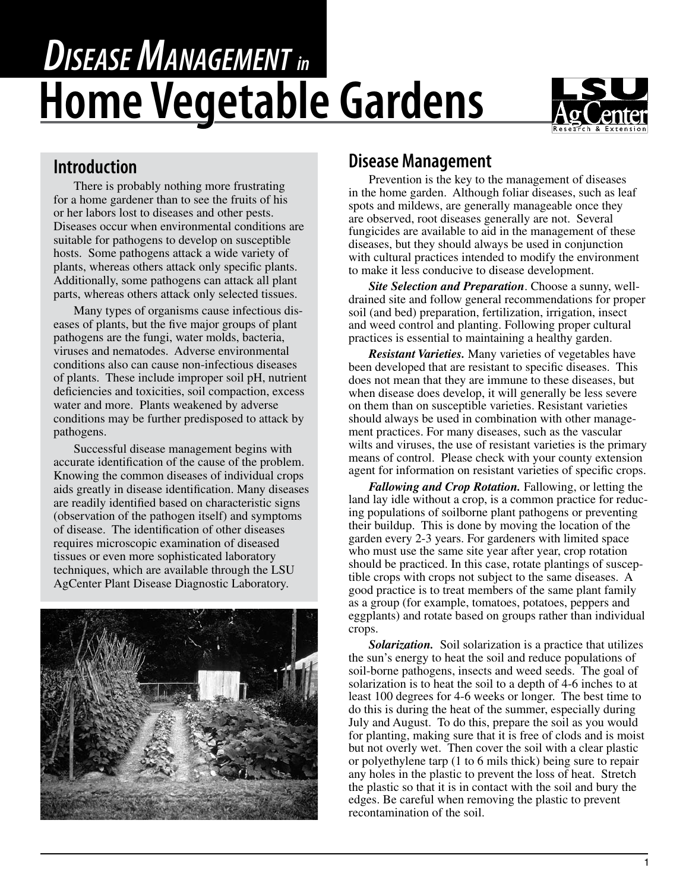# *Disease Management in* **Home Vegetable Gardens**



# **Introduction**

There is probably nothing more frustrating for a home gardener than to see the fruits of his or her labors lost to diseases and other pests. Diseases occur when environmental conditions are suitable for pathogens to develop on susceptible hosts. Some pathogens attack a wide variety of plants, whereas others attack only specific plants. Additionally, some pathogens can attack all plant parts, whereas others attack only selected tissues.

Many types of organisms cause infectious diseases of plants, but the five major groups of plant pathogens are the fungi, water molds, bacteria, viruses and nematodes. Adverse environmental conditions also can cause non-infectious diseases of plants. These include improper soil pH, nutrient deficiencies and toxicities, soil compaction, excess water and more. Plants weakened by adverse conditions may be further predisposed to attack by pathogens.

Successful disease management begins with accurate identification of the cause of the problem. Knowing the common diseases of individual crops aids greatly in disease identification. Many diseases are readily identified based on characteristic signs (observation of the pathogen itself) and symptoms of disease. The identification of other diseases requires microscopic examination of diseased tissues or even more sophisticated laboratory techniques, which are available through the LSU AgCenter Plant Disease Diagnostic Laboratory.



# **Disease Management**

Prevention is the key to the management of diseases in the home garden. Although foliar diseases, such as leaf spots and mildews, are generally manageable once they are observed, root diseases generally are not. Several fungicides are available to aid in the management of these diseases, but they should always be used in conjunction with cultural practices intended to modify the environment to make it less conducive to disease development.

*Site Selection and Preparation*. Choose a sunny, welldrained site and follow general recommendations for proper soil (and bed) preparation, fertilization, irrigation, insect and weed control and planting. Following proper cultural practices is essential to maintaining a healthy garden.

*Resistant Varieties.* Many varieties of vegetables have been developed that are resistant to specific diseases. This does not mean that they are immune to these diseases, but when disease does develop, it will generally be less severe on them than on susceptible varieties. Resistant varieties should always be used in combination with other management practices. For many diseases, such as the vascular wilts and viruses, the use of resistant varieties is the primary means of control. Please check with your county extension agent for information on resistant varieties of specific crops.

*Fallowing and Crop Rotation.* Fallowing, or letting the land lay idle without a crop, is a common practice for reducing populations of soilborne plant pathogens or preventing their buildup. This is done by moving the location of the garden every 2-3 years. For gardeners with limited space who must use the same site year after year, crop rotation should be practiced. In this case, rotate plantings of susceptible crops with crops not subject to the same diseases. A good practice is to treat members of the same plant family as a group (for example, tomatoes, potatoes, peppers and eggplants) and rotate based on groups rather than individual crops.

*Solarization.* Soil solarization is a practice that utilizes the sun's energy to heat the soil and reduce populations of soil-borne pathogens, insects and weed seeds. The goal of solarization is to heat the soil to a depth of 4-6 inches to at least 100 degrees for 4-6 weeks or longer. The best time to do this is during the heat of the summer, especially during July and August. To do this, prepare the soil as you would for planting, making sure that it is free of clods and is moist but not overly wet. Then cover the soil with a clear plastic or polyethylene tarp (1 to 6 mils thick) being sure to repair any holes in the plastic to prevent the loss of heat. Stretch the plastic so that it is in contact with the soil and bury the edges. Be careful when removing the plastic to prevent recontamination of the soil.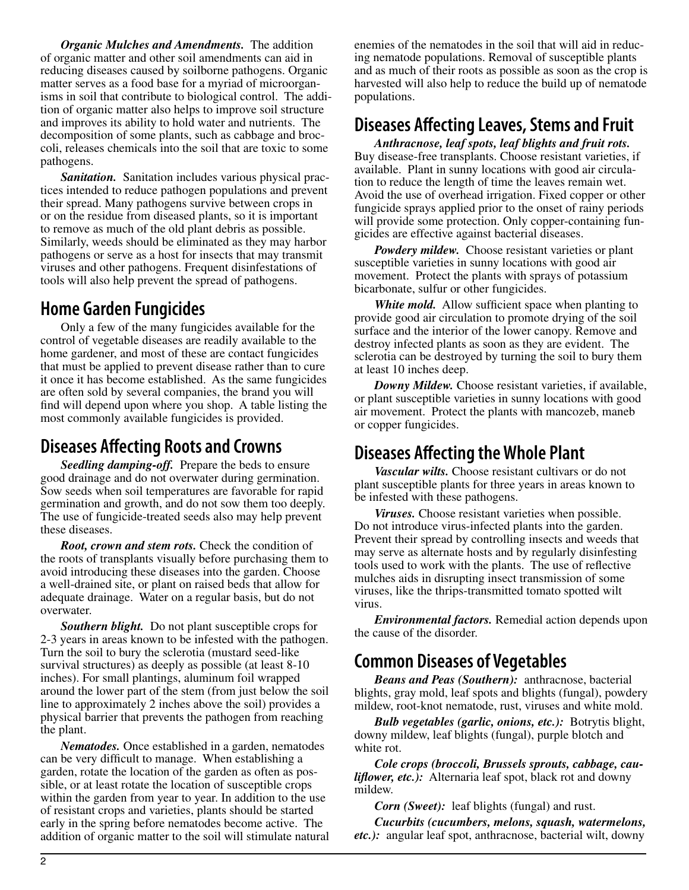*Organic Mulches and Amendments.* The addition of organic matter and other soil amendments can aid in reducing diseases caused by soilborne pathogens. Organic matter serves as a food base for a myriad of microorganisms in soil that contribute to biological control. The addition of organic matter also helps to improve soil structure and improves its ability to hold water and nutrients. The decomposition of some plants, such as cabbage and broccoli, releases chemicals into the soil that are toxic to some pathogens.

*Sanitation.* Sanitation includes various physical practices intended to reduce pathogen populations and prevent their spread. Many pathogens survive between crops in or on the residue from diseased plants, so it is important to remove as much of the old plant debris as possible. Similarly, weeds should be eliminated as they may harbor pathogens or serve as a host for insects that may transmit viruses and other pathogens. Frequent disinfestations of tools will also help prevent the spread of pathogens.

# **Home Garden Fungicides**

Only a few of the many fungicides available for the control of vegetable diseases are readily available to the home gardener, and most of these are contact fungicides that must be applied to prevent disease rather than to cure it once it has become established. As the same fungicides are often sold by several companies, the brand you will find will depend upon where you shop. A table listing the most commonly available fungicides is provided.

### **Diseases Affecting Roots and Crowns**

*Seedling damping-off.* Prepare the beds to ensure good drainage and do not overwater during germination. Sow seeds when soil temperatures are favorable for rapid germination and growth, and do not sow them too deeply. The use of fungicide-treated seeds also may help prevent these diseases.

*Root, crown and stem rots.* Check the condition of the roots of transplants visually before purchasing them to avoid introducing these diseases into the garden. Choose a well-drained site, or plant on raised beds that allow for adequate drainage. Water on a regular basis, but do not overwater.

*Southern blight.* Do not plant susceptible crops for 2-3 years in areas known to be infested with the pathogen. Turn the soil to bury the sclerotia (mustard seed-like survival structures) as deeply as possible (at least 8-10 inches). For small plantings, aluminum foil wrapped around the lower part of the stem (from just below the soil line to approximately 2 inches above the soil) provides a physical barrier that prevents the pathogen from reaching the plant.

*Nematodes.* Once established in a garden, nematodes can be very difficult to manage. When establishing a garden, rotate the location of the garden as often as possible, or at least rotate the location of susceptible crops within the garden from year to year. In addition to the use of resistant crops and varieties, plants should be started early in the spring before nematodes become active. The addition of organic matter to the soil will stimulate natural enemies of the nematodes in the soil that will aid in reducing nematode populations. Removal of susceptible plants and as much of their roots as possible as soon as the crop is harvested will also help to reduce the build up of nematode populations.

# **Diseases Affecting Leaves, Stems and Fruit**

*Anthracnose, leaf spots, leaf blights and fruit rots.*  Buy disease-free transplants. Choose resistant varieties, if available. Plant in sunny locations with good air circulation to reduce the length of time the leaves remain wet. Avoid the use of overhead irrigation. Fixed copper or other fungicide sprays applied prior to the onset of rainy periods will provide some protection. Only copper-containing fungicides are effective against bacterial diseases.

*Powdery mildew.* Choose resistant varieties or plant susceptible varieties in sunny locations with good air movement. Protect the plants with sprays of potassium bicarbonate, sulfur or other fungicides.

*White mold.* Allow sufficient space when planting to provide good air circulation to promote drying of the soil surface and the interior of the lower canopy. Remove and destroy infected plants as soon as they are evident. The sclerotia can be destroyed by turning the soil to bury them at least 10 inches deep.

*Downy Mildew.* Choose resistant varieties, if available, or plant susceptible varieties in sunny locations with good air movement. Protect the plants with mancozeb, maneb or copper fungicides.

#### **Diseases Affecting the Whole Plant**

*Vascular wilts.* Choose resistant cultivars or do not plant susceptible plants for three years in areas known to be infested with these pathogens.

*Viruses.* Choose resistant varieties when possible. Do not introduce virus-infected plants into the garden. Prevent their spread by controlling insects and weeds that may serve as alternate hosts and by regularly disinfesting tools used to work with the plants. The use of reflective mulches aids in disrupting insect transmission of some viruses, like the thrips-transmitted tomato spotted wilt virus.

*Environmental factors.* Remedial action depends upon the cause of the disorder.

# **Common Diseases of Vegetables**

*Beans and Peas (Southern):* anthracnose, bacterial blights, gray mold, leaf spots and blights (fungal), powdery mildew, root-knot nematode, rust, viruses and white mold.

*Bulb vegetables (garlic, onions, etc.):* Botrytis blight, downy mildew, leaf blights (fungal), purple blotch and white rot.

*Cole crops (broccoli, Brussels sprouts, cabbage, cauliflower, etc.):* Alternaria leaf spot, black rot and downy mildew.

*Corn (Sweet):* leaf blights (fungal) and rust.

*Cucurbits (cucumbers, melons, squash, watermelons, etc.):* angular leaf spot, anthracnose, bacterial wilt, downy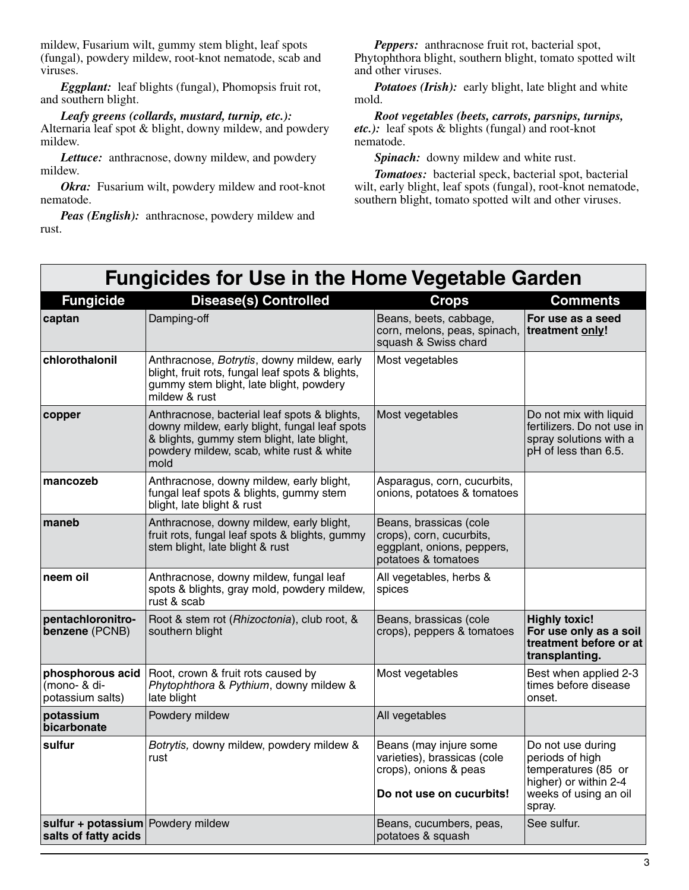mildew, Fusarium wilt, gummy stem blight, leaf spots (fungal), powdery mildew, root-knot nematode, scab and viruses.

*Eggplant:* leaf blights (fungal), Phomopsis fruit rot, and southern blight.

*Leafy greens (collards, mustard, turnip, etc.):*  Alternaria leaf spot & blight, downy mildew, and powdery mildew.

*Lettuce:* anthracnose, downy mildew, and powdery mildew.

*Okra:* Fusarium wilt, powdery mildew and root-knot nematode.

*Peas (English):* anthracnose, powdery mildew and rust.

*Peppers:* anthracnose fruit rot, bacterial spot, Phytophthora blight, southern blight, tomato spotted wilt and other viruses.

*Potatoes (Irish)*: early blight, late blight and white mold.

*Root vegetables (beets, carrots, parsnips, turnips, etc.):* leaf spots & blights (fungal) and root-knot nematode.

*Spinach:* downy mildew and white rust.

*Tomatoes:* bacterial speck, bacterial spot, bacterial wilt, early blight, leaf spots (fungal), root-knot nematode, southern blight, tomato spotted wilt and other viruses.

# **Fungicides for Use in the Home Vegetable Garden**

| <b>Fungicide</b>                                          | <b>Disease(s) Controlled</b>                                                                                                                                                                    | <b>Crops</b>                                                                                               | <b>Comments</b>                                                                                                         |
|-----------------------------------------------------------|-------------------------------------------------------------------------------------------------------------------------------------------------------------------------------------------------|------------------------------------------------------------------------------------------------------------|-------------------------------------------------------------------------------------------------------------------------|
| captan                                                    | Damping-off                                                                                                                                                                                     | Beans, beets, cabbage,<br>corn, melons, peas, spinach,<br>squash & Swiss chard                             | For use as a seed<br>treatment only!                                                                                    |
| chlorothalonil                                            | Anthracnose, Botrytis, downy mildew, early<br>blight, fruit rots, fungal leaf spots & blights,<br>gummy stem blight, late blight, powdery<br>mildew & rust                                      | Most vegetables                                                                                            |                                                                                                                         |
| copper                                                    | Anthracnose, bacterial leaf spots & blights,<br>downy mildew, early blight, fungal leaf spots<br>& blights, gummy stem blight, late blight,<br>powdery mildew, scab, white rust & white<br>mold | Most vegetables                                                                                            | Do not mix with liquid<br>fertilizers. Do not use in<br>spray solutions with a<br>pH of less than 6.5.                  |
| mancozeb                                                  | Anthracnose, downy mildew, early blight,<br>fungal leaf spots & blights, gummy stem<br>blight, late blight & rust                                                                               | Asparagus, corn, cucurbits,<br>onions, potatoes & tomatoes                                                 |                                                                                                                         |
| maneb                                                     | Anthracnose, downy mildew, early blight,<br>fruit rots, fungal leaf spots & blights, gummy<br>stem blight, late blight & rust                                                                   | Beans, brassicas (cole<br>crops), corn, cucurbits,<br>eggplant, onions, peppers,<br>potatoes & tomatoes    |                                                                                                                         |
| neem oil                                                  | Anthracnose, downy mildew, fungal leaf<br>spots & blights, gray mold, powdery mildew,<br>rust & scab                                                                                            | All vegetables, herbs &<br>spices                                                                          |                                                                                                                         |
| pentachloronitro-<br>benzene (PCNB)                       | Root & stem rot (Rhizoctonia), club root, &<br>southern blight                                                                                                                                  | Beans, brassicas (cole<br>crops), peppers & tomatoes                                                       | <b>Highly toxic!</b><br>For use only as a soil<br>treatment before or at<br>transplanting.                              |
| phosphorous acid<br>(mono- & di-<br>potassium salts)      | Root, crown & fruit rots caused by<br>Phytophthora & Pythium, downy mildew &<br>late blight                                                                                                     | Most vegetables                                                                                            | Best when applied 2-3<br>times before disease<br>onset.                                                                 |
| potassium<br>bicarbonate                                  | Powdery mildew                                                                                                                                                                                  | All vegetables                                                                                             |                                                                                                                         |
| sulfur                                                    | Botrytis, downy mildew, powdery mildew &<br>rust                                                                                                                                                | Beans (may injure some<br>varieties), brassicas (cole<br>crops), onions & peas<br>Do not use on cucurbits! | Do not use during<br>periods of high<br>temperatures (85 or<br>higher) or within 2-4<br>weeks of using an oil<br>spray. |
| sulfur + potassium Powdery mildew<br>salts of fatty acids |                                                                                                                                                                                                 | Beans, cucumbers, peas,<br>potatoes & squash                                                               | See sulfur.                                                                                                             |